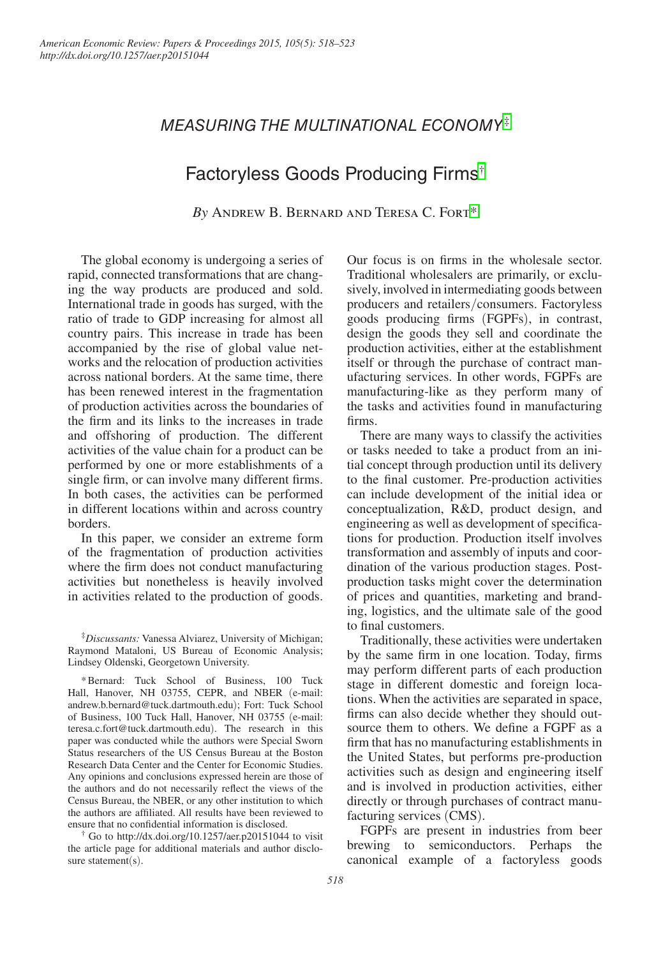# *MEASURING THE MULTINATIONAL ECONOMY*  ‡

## Factoryless Goods Producing Firms†

*By* Andrew B. Bernard and Teresa C. Fort\*

The global economy is undergoing a series of rapid, connected transformations that are changing the way products are produced and sold. International trade in goods has surged, with the ratio of trade to GDP increasing for almost all country pairs. This increase in trade has been accompanied by the rise of global value networks and the relocation of production activities across national borders. At the same time, there has been renewed interest in the fragmentation of production activities across the boundaries of the firm and its links to the increases in trade and offshoring of production. The different activities of the value chain for a product can be performed by one or more establishments of a single firm, or can involve many different firms. In both cases, the activities can be performed in different locations within and across country borders.

In this paper, we consider an extreme form of the fragmentation of production activities where the firm does not conduct manufacturing activities but nonetheless is heavily involved in activities related to the production of goods.

‡ *Discussants:* Vanessa Alviarez, University of Michigan; Raymond Mataloni, US Bureau of Economic Analysis; Lindsey Oldenski, Georgetown University.

\*Bernard: Tuck School of Business, 100 Tuck Hall, Hanover, NH 03755, CEPR, and NBER (e-mail: andrew.b.bernard@tuck.dartmouth.edu); Fort: Tuck School of Business, 100 Tuck Hall, Hanover, NH 03755 (e-mail: teresa.c.fort@tuck.dartmouth.edu). The research in this paper was conducted while the authors were Special Sworn Status researchers of the US Census Bureau at the Boston Research Data Center and the Center for Economic Studies. Any opinions and conclusions expressed herein are those of the authors and do not necessarily reflect the views of the Census Bureau, the NBER, or any other institution to which the authors are affiliated. All results have been reviewed to ensure that no confidential information is disclosed.

† Go to <http://dx.doi.org/10.1257/aer.p20151044>to visit the article page for additional materials and author disclosure statement(s).

Our focus is on firms in the wholesale sector. Traditional wholesalers are primarily, or exclusively, involved in intermediating goods between producers and retailers/consumers. Factoryless goods producing firms (FGPFs), in contrast, design the goods they sell and coordinate the production activities, either at the establishment itself or through the purchase of contract manufacturing services. In other words, FGPFs are manufacturing-like as they perform many of the tasks and activities found in manufacturing firms.

There are many ways to classify the activities or tasks needed to take a product from an initial concept through production until its delivery to the final customer. Pre-production activities can include development of the initial idea or conceptualization, R&D, product design, and engineering as well as development of specifications for production. Production itself involves transformation and assembly of inputs and coordination of the various production stages. Postproduction tasks might cover the determination of prices and quantities, marketing and branding, logistics, and the ultimate sale of the good to final customers.

Traditionally, these activities were undertaken by the same firm in one location. Today, firms may perform different parts of each production stage in different domestic and foreign locations. When the activities are separated in space, firms can also decide whether they should outsource them to others. We define a FGPF as a firm that has no manufacturing establishments in the United States, but performs pre-production activities such as design and engineering itself and is involved in production activities, either directly or through purchases of contract manufacturing services (CMS).

FGPFs are present in industries from beer brewing to semiconductors. Perhaps the canonical example of a factoryless goods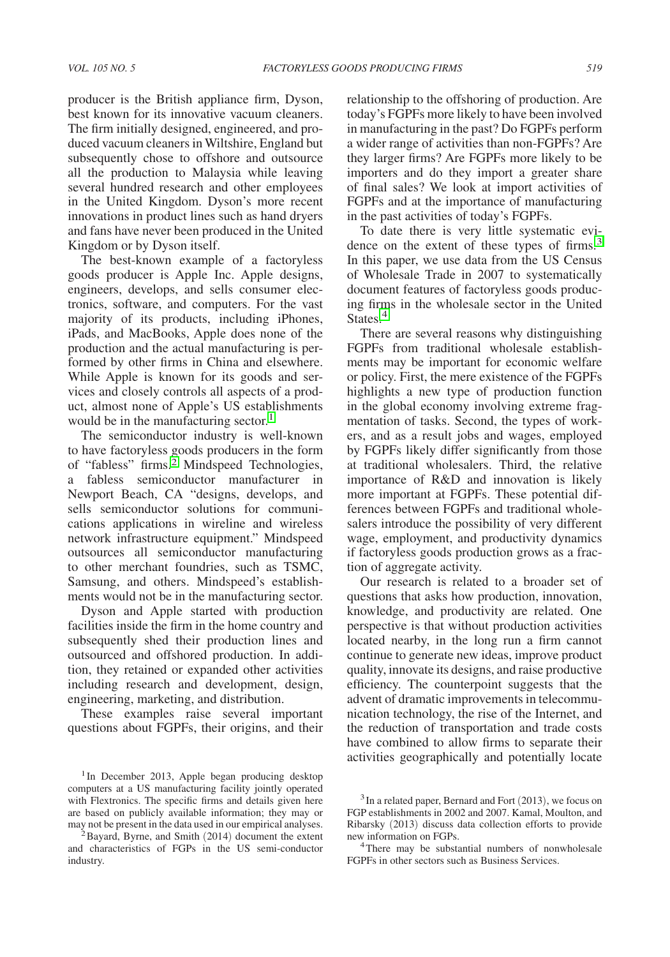producer is the British appliance firm, Dyson, best known for its innovative vacuum cleaners. The firm initially designed, engineered, and produced vacuum cleaners in Wiltshire, England but subsequently chose to offshore and outsource all the production to Malaysia while leaving several hundred research and other employees in the United Kingdom. Dyson's more recent innovations in product lines such as hand dryers and fans have never been produced in the United Kingdom or by Dyson itself.

The best-known example of a factoryless goods producer is Apple Inc. Apple designs, engineers, develops, and sells consumer electronics, software, and computers. For the vast majority of its products, including iPhones, iPads, and MacBooks, Apple does none of the production and the actual manufacturing is performed by other firms in China and elsewhere. While Apple is known for its goods and services and closely controls all aspects of a product, almost none of Apple's US establishments would be in the manufacturing sector.<sup>1</sup>

The semiconductor industry is well-known to have factoryless goods producers in the form of "fabless" firms.<sup>2</sup> Mindspeed Technologies, a fabless semiconductor manufacturer in Newport Beach, CA "designs, develops, and sells semiconductor solutions for communications applications in wireline and wireless network infrastructure equipment." Mindspeed outsources all semiconductor manufacturing to other merchant foundries, such as TSMC, Samsung, and others. Mindspeed's establishments would not be in the manufacturing sector.

Dyson and Apple started with production facilities inside the firm in the home country and subsequently shed their production lines and outsourced and offshored production. In addition, they retained or expanded other activities including research and development, design, engineering, marketing, and distribution.

These examples raise several important questions about FGPFs, their origins, and their relationship to the offshoring of production. Are today's FGPFs more likely to have been involved in manufacturing in the past? Do FGPFs perform a wider range of activities than non-FGPFs? Are they larger firms? Are FGPFs more likely to be importers and do they import a greater share of final sales? We look at import activities of FGPFs and at the importance of manufacturing in the past activities of today's FGPFs.

To date there is very little systematic evidence on the extent of these types of firms.<sup>3</sup> In this paper, we use data from the US Census of Wholesale Trade in 2007 to systematically document features of factoryless goods producing firms in the wholesale sector in the United States.<sup>4</sup>

There are several reasons why distinguishing FGPFs from traditional wholesale establishments may be important for economic welfare or policy. First, the mere existence of the FGPFs highlights a new type of production function in the global economy involving extreme fragmentation of tasks. Second, the types of workers, and as a result jobs and wages, employed by FGPFs likely differ significantly from those at traditional wholesalers. Third, the relative importance of R&D and innovation is likely more important at FGPFs. These potential differences between FGPFs and traditional wholesalers introduce the possibility of very different wage, employment, and productivity dynamics if factoryless goods production grows as a fraction of aggregate activity.

Our research is related to a broader set of questions that asks how production, innovation, knowledge, and productivity are related. One perspective is that without production activities located nearby, in the long run a firm cannot continue to generate new ideas, improve product quality, innovate its designs, and raise productive efficiency. The counterpoint suggests that the advent of dramatic improvements in telecommunication technology, the rise of the Internet, and the reduction of transportation and trade costs have combined to allow firms to separate their activities geographically and potentially locate

<sup>&</sup>lt;sup>1</sup>In December 2013, Apple began producing desktop computers at a US manufacturing facility jointly operated with Flextronics. The specific firms and details given here are based on publicly available information; they may or may not be present in the data used in our empirical analyses.<br><sup>2</sup>Bayard, Byrne, and Smith (2014) document the extent

and characteristics of FGPs in the US semi-conductor industry.

<sup>3</sup>In a related paper, Bernard and Fort (2013), we focus on FGP establishments in 2002 and 2007. Kamal, Moulton, and Ribarsky (2013) discuss data collection efforts to provide

There may be substantial numbers of nonwholesale FGPFs in other sectors such as Business Services.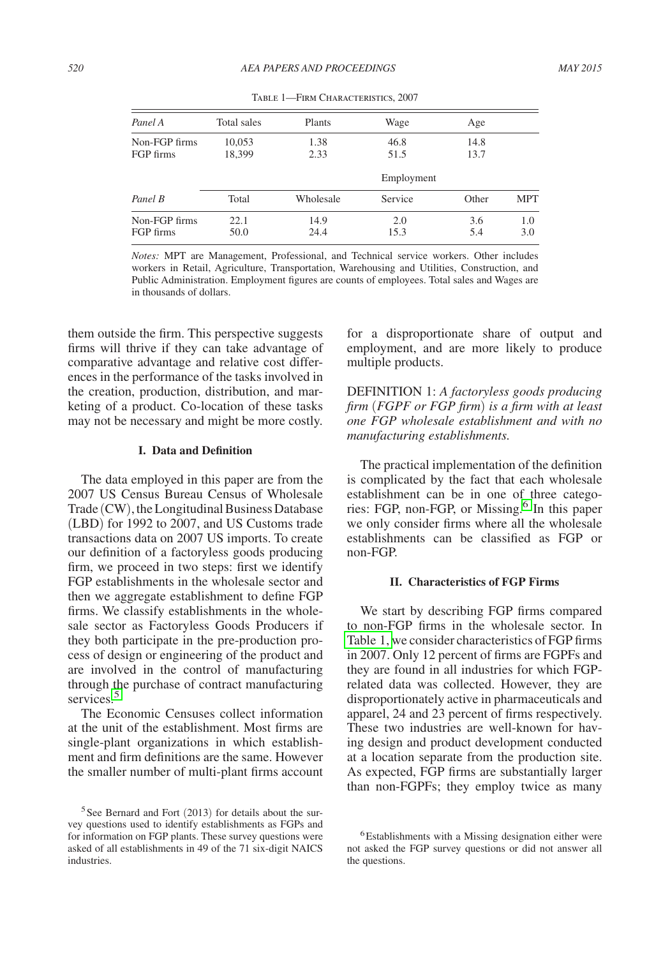| Panel A                    | Total sales      | Plants       | Wage         | Age          |            |
|----------------------------|------------------|--------------|--------------|--------------|------------|
| Non-FGP firms<br>FGP firms | 10,053<br>18.399 | 1.38<br>2.33 | 46.8<br>51.5 | 14.8<br>13.7 |            |
|                            |                  |              | Employment   |              |            |
| Panel B                    | Total            | Wholesale    | Service      | Other        | <b>MPT</b> |
| Non-FGP firms<br>FGP firms | 22.1<br>50.0     | 14.9<br>24.4 | 2.0<br>15.3  | 3.6<br>5.4   | 1.0<br>3.0 |

Table 1—Firm Characteristics, 2007

*Notes:* MPT are Management, Professional, and Technical service workers. Other includes workers in Retail, Agriculture, Transportation, Warehousing and Utilities, Construction, and Public Administration. Employment figures are counts of employees. Total sales and Wages are in thousands of dollars.

them outside the firm. This perspective suggests firms will thrive if they can take advantage of comparative advantage and relative cost differences in the performance of the tasks involved in the creation, production, distribution, and marketing of a product. Co-location of these tasks may not be necessary and might be more costly.

## **I. Data and Definition**

The data employed in this paper are from the 2007 US Census Bureau Census of Wholesale Trade (CW), the Longitudinal Business Database (LBD) for 1992 to 2007, and US Customs trade transactions data on 2007 US imports. To create our definition of a factoryless goods producing firm, we proceed in two steps: first we identify FGP establishments in the wholesale sector and then we aggregate establishment to define FGP firms. We classify establishments in the wholesale sector as Factoryless Goods Producers if they both participate in the pre-production process of design or engineering of the product and are involved in the control of manufacturing through the purchase of contract manufacturing services<sup>5</sup>

The Economic Censuses collect information at the unit of the establishment. Most firms are single-plant organizations in which establishment and firm definitions are the same. However the smaller number of multi-plant firms account

for a disproportionate share of output and employment, and are more likely to produce multiple products.

DEFINITION 1: *A factoryless goods producing firm* (*FGPF or FGP firm*) *is a firm with at least one FGP wholesale establishment and with no manufacturing establishments.*

The practical implementation of the definition is complicated by the fact that each wholesale establishment can be in one of three categories: FGP, non-FGP, or Missing.<sup>6</sup> In this paper we only consider firms where all the wholesale establishments can be classified as FGP or non-FGP.

## **II. Characteristics of FGP Firms**

We start by describing FGP firms compared to non-FGP firms in the wholesale sector. In Table 1, we consider characteristics of FGP firms in 2007. Only 12 percent of firms are FGPFs and they are found in all industries for which FGPrelated data was collected. However, they are disproportionately active in pharmaceuticals and apparel, 24 and 23 percent of firms respectively. These two industries are well-known for having design and product development conducted at a location separate from the production site. As expected, FGP firms are substantially larger than non-FGPFs; they employ twice as many

 $5$ See Bernard and Fort (2013) for details about the survey questions used to identify establishments as FGPs and for information on FGP plants. These survey questions were asked of all establishments in 49 of the 71 six-digit NAICS industries.

<sup>&</sup>lt;sup>6</sup>Establishments with a Missing designation either were not asked the FGP survey questions or did not answer all the questions.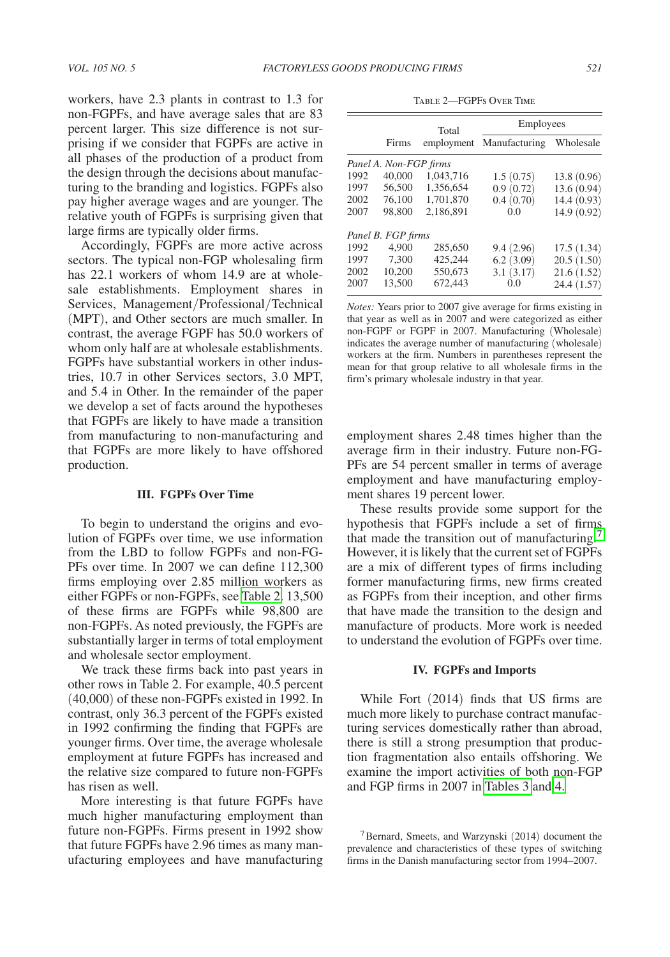workers, have 2.3 plants in contrast to 1.3 for non-FGPFs, and have average sales that are 83 percent larger. This size difference is not surprising if we consider that FGPFs are active in all phases of the production of a product from the design through the decisions about manufacturing to the branding and logistics. FGPFs also pay higher average wages and are younger. The relative youth of FGPFs is surprising given that large firms are typically older firms.

Accordingly, FGPFs are more active across sectors. The typical non-FGP wholesaling firm has 22.1 workers of whom 14.9 are at wholesale establishments. Employment shares in Services, Management/Professional/Technical (MPT), and Other sectors are much smaller. In contrast, the average FGPF has 50.0 workers of whom only half are at wholesale establishments. FGPFs have substantial workers in other industries, 10.7 in other Services sectors, 3.0 MPT, and 5.4 in Other. In the remainder of the paper we develop a set of facts around the hypotheses that FGPFs are likely to have made a transition from manufacturing to non-manufacturing and that FGPFs are more likely to have offshored production.

#### **III. FGPFs Over Time**

To begin to understand the origins and evolution of FGPFs over time, we use information from the LBD to follow FGPFs and non-FG-PFs over time. In 2007 we can define 112,300 firms employing over 2.85 million workers as either FGPFs or non-FGPFs, see Table 2. 13,500 of these firms are FGPFs while 98,800 are non-FGPFs. As noted previously, the FGPFs are substantially larger in terms of total employment and wholesale sector employment.

We track these firms back into past years in other rows in Table 2. For example, 40.5 percent (40,000) of these non-FGPFs existed in 1992. In contrast, only 36.3 percent of the FGPFs existed in 1992 confirming the finding that FGPFs are younger firms. Over time, the average wholesale employment at future FGPFs has increased and the relative size compared to future non-FGPFs has risen as well.

More interesting is that future FGPFs have much higher manufacturing employment than future non-FGPFs. Firms present in 1992 show that future FGPFs have 2.96 times as many manufacturing employees and have manufacturing

Table 2—FGPFs Over Time

|      |                        | Total     | Employees                |             |  |
|------|------------------------|-----------|--------------------------|-------------|--|
|      | Firms                  |           | employment Manufacturing | Wholesale   |  |
|      | Panel A. Non-FGP firms |           |                          |             |  |
| 1992 | 40,000                 | 1,043,716 | 1.5(0.75)                | 13.8 (0.96) |  |
| 1997 | 56,500                 | 1.356.654 | 0.9(0.72)                | 13.6(0.94)  |  |
| 2002 | 76.100                 | 1.701.870 | 0.4(0.70)                | 14.4(0.93)  |  |
| 2007 | 98.800                 | 2.186.891 | 0.0                      | 14.9 (0.92) |  |
|      | Panel B. FGP firms     |           |                          |             |  |
| 1992 | 4.900                  | 285,650   | 9.4(2.96)                | 17.5(1.34)  |  |
| 1997 | 7.300                  | 425.244   | 6.2(3.09)                | 20.5(1.50)  |  |
| 2002 | 10.200                 | 550,673   | 3.1(3.17)                | 21.6(1.52)  |  |
| 2007 | 13.500                 | 672,443   | 0.0                      | 24.4 (1.57) |  |

*Notes:* Years prior to 2007 give average for firms existing in that year as well as in 2007 and were categorized as either non-FGPF or FGPF in 2007. Manufacturing (Wholesale) indicates the average number of manufacturing (wholesale) workers at the firm. Numbers in parentheses represent the mean for that group relative to all wholesale firms in the firm's primary wholesale industry in that year.

employment shares 2.48 times higher than the average firm in their industry. Future non-FG-PFs are 54 percent smaller in terms of average employment and have manufacturing employment shares 19 percent lower.

These results provide some support for the hypothesis that FGPFs include a set of firms that made the transition out of manufacturing.<sup>7</sup> However, it is likely that the current set of FGPFs are a mix of different types of firms including former manufacturing firms, new firms created as FGPFs from their inception, and other firms that have made the transition to the design and manufacture of products. More work is needed to understand the evolution of FGPFs over time.

## **IV. FGPFs and Imports**

While Fort (2014) finds that US firms are much more likely to purchase contract manufacturing services domestically rather than abroad, there is still a strong presumption that production fragmentation also entails offshoring. We examine the import activities of both non-FGP and FGP firms in 2007 in [Tables 3](#page-4-0) and [4.](#page-4-0)

<sup>7</sup>Bernard, Smeets, and Warzynski (2014) document the prevalence and characteristics of these types of switching firms in the Danish manufacturing sector from 1994–2007.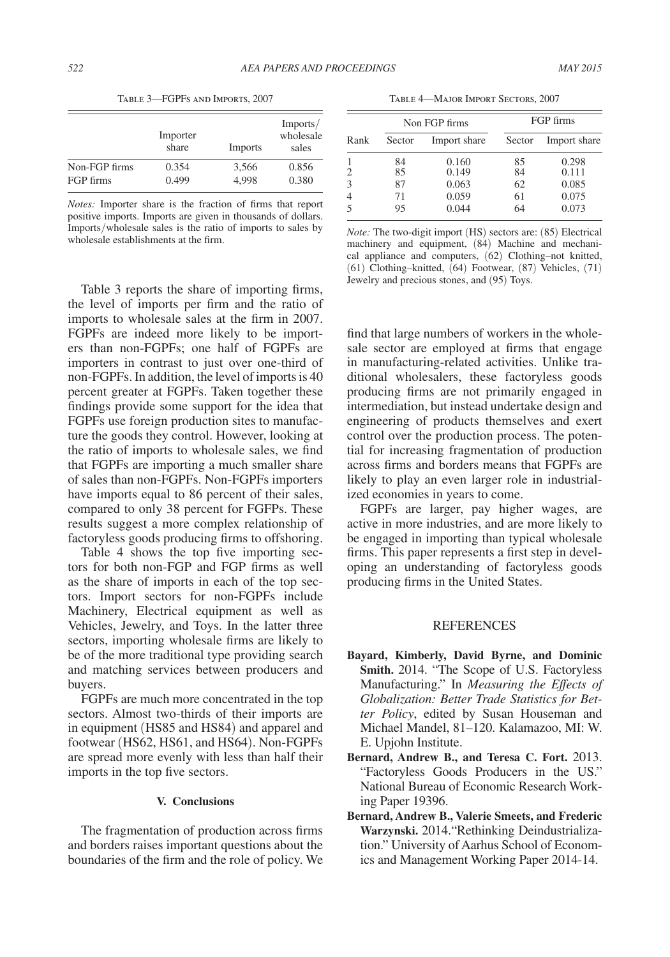<span id="page-4-0"></span>

|               | Importer<br>share | <b>Imports</b> | Imports/<br>wholesale<br>sales |
|---------------|-------------------|----------------|--------------------------------|
| Non-FGP firms | 0.354             | 3,566          | 0.856                          |
| FGP firms     | 0.499             | 4.998          | 0.380                          |

Table 3—FGPFs and Imports, 2007

*Notes:* Importer share is the fraction of firms that report positive imports. Imports are given in thousands of dollars. Imports/wholesale sales is the ratio of imports to sales by wholesale establishments at the firm.

Table 4—Major Import Sectors, 2007

|      | Non FGP firms |              | FGP firms |              |
|------|---------------|--------------|-----------|--------------|
| Rank | Sector        | Import share | Sector    | Import share |
| 1    | 84            | 0.160        | 85        | 0.298        |
| 2    | 85            | 0.149        | 84        | 0.111        |
| 3    | 87            | 0.063        | 62        | 0.085        |
| 4    | 71            | 0.059        | 61        | 0.075        |
| 5    | 95            | 0.044        | 64        | 0.073        |

*Note:* The two-digit import (HS) sectors are: (85) Electrical machinery and equipment, (84) Machine and mechanical appliance and computers, (62) Clothing–not knitted, (61) Clothing–knitted, (64) Footwear, (87) Vehicles, (71) Jewelry and precious stones, and (95) Toys.

Table 3 reports the share of importing firms, the level of imports per firm and the ratio of imports to wholesale sales at the firm in 2007. FGPFs are indeed more likely to be importers than non-FGPFs; one half of FGPFs are importers in contrast to just over one-third of non-FGPFs. In addition, the level of imports is 40 percent greater at FGPFs. Taken together these findings provide some support for the idea that FGPFs use foreign production sites to manufacture the goods they control. However, looking at the ratio of imports to wholesale sales, we find that FGPFs are importing a much smaller share of sales than non-FGPFs. Non-FGPFs importers have imports equal to 86 percent of their sales, compared to only 38 percent for FGFPs. These results suggest a more complex relationship of factoryless goods producing firms to offshoring.

Table 4 shows the top five importing sectors for both non-FGP and FGP firms as well as the share of imports in each of the top sectors. Import sectors for non-FGPFs include Machinery, Electrical equipment as well as Vehicles, Jewelry, and Toys. In the latter three sectors, importing wholesale firms are likely to be of the more traditional type providing search and matching services between producers and buyers.

FGPFs are much more concentrated in the top sectors. Almost two-thirds of their imports are in equipment (HS85 and HS84) and apparel and footwear (HS62, HS61, and HS64). Non-FGPFs are spread more evenly with less than half their imports in the top five sectors.

## **V. Conclusions**

The fragmentation of production across firms and borders raises important questions about the boundaries of the firm and the role of policy. We find that large numbers of workers in the wholesale sector are employed at firms that engage in manufacturing-related activities. Unlike traditional wholesalers, these factoryless goods producing firms are not primarily engaged in intermediation, but instead undertake design and engineering of products themselves and exert control over the production process. The potential for increasing fragmentation of production across firms and borders means that FGPFs are likely to play an even larger role in industrialized economies in years to come.

FGPFs are larger, pay higher wages, are active in more industries, and are more likely to be engaged in importing than typical wholesale firms. This paper represents a first step in developing an understanding of factoryless goods producing firms in the United States.

## REFERENCES

- **Bayard, Kimberly, David Byrne, and Dominic Smith.** 2014. "The Scope of U.S. Factoryless Manufacturing." In *Measuring the Effects of Globalization: Better Trade Statistics for Better Policy*, edited by Susan Houseman and Michael Mandel, 81–120. Kalamazoo, MI: W. E. Upjohn Institute.
- **Bernard, Andrew B., and Teresa C. Fort.** 2013. "Factoryless Goods Producers in the US." National Bureau of Economic Research Working Paper 19396.
- **Bernard, Andrew B., Valerie Smeets, and Frederic Warzynski.** 2014."Rethinking Deindustrialization." University of Aarhus School of Economics and Management Working Paper 2014-14.